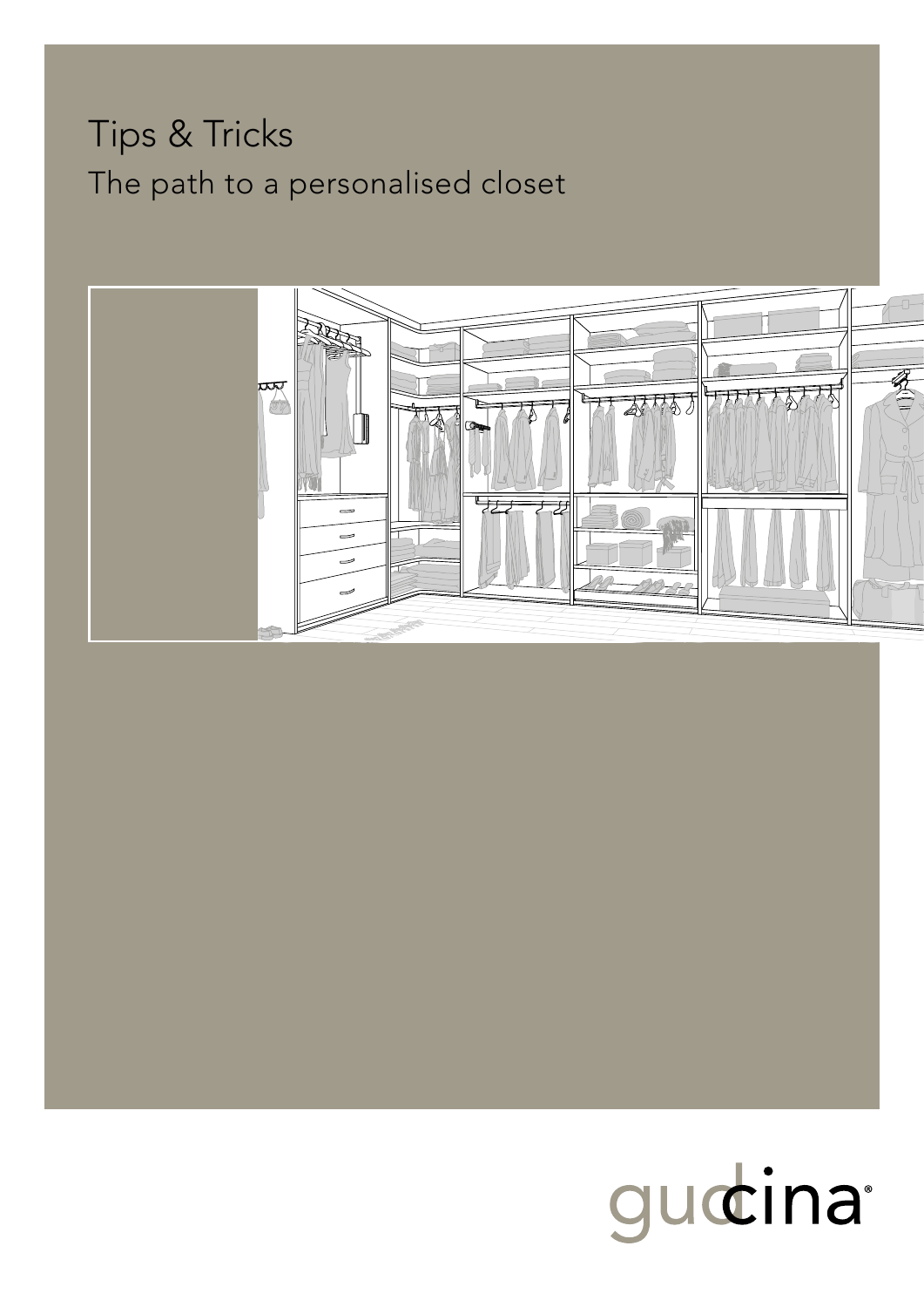## Tips & Tricks The path to a personalised closet



# gudina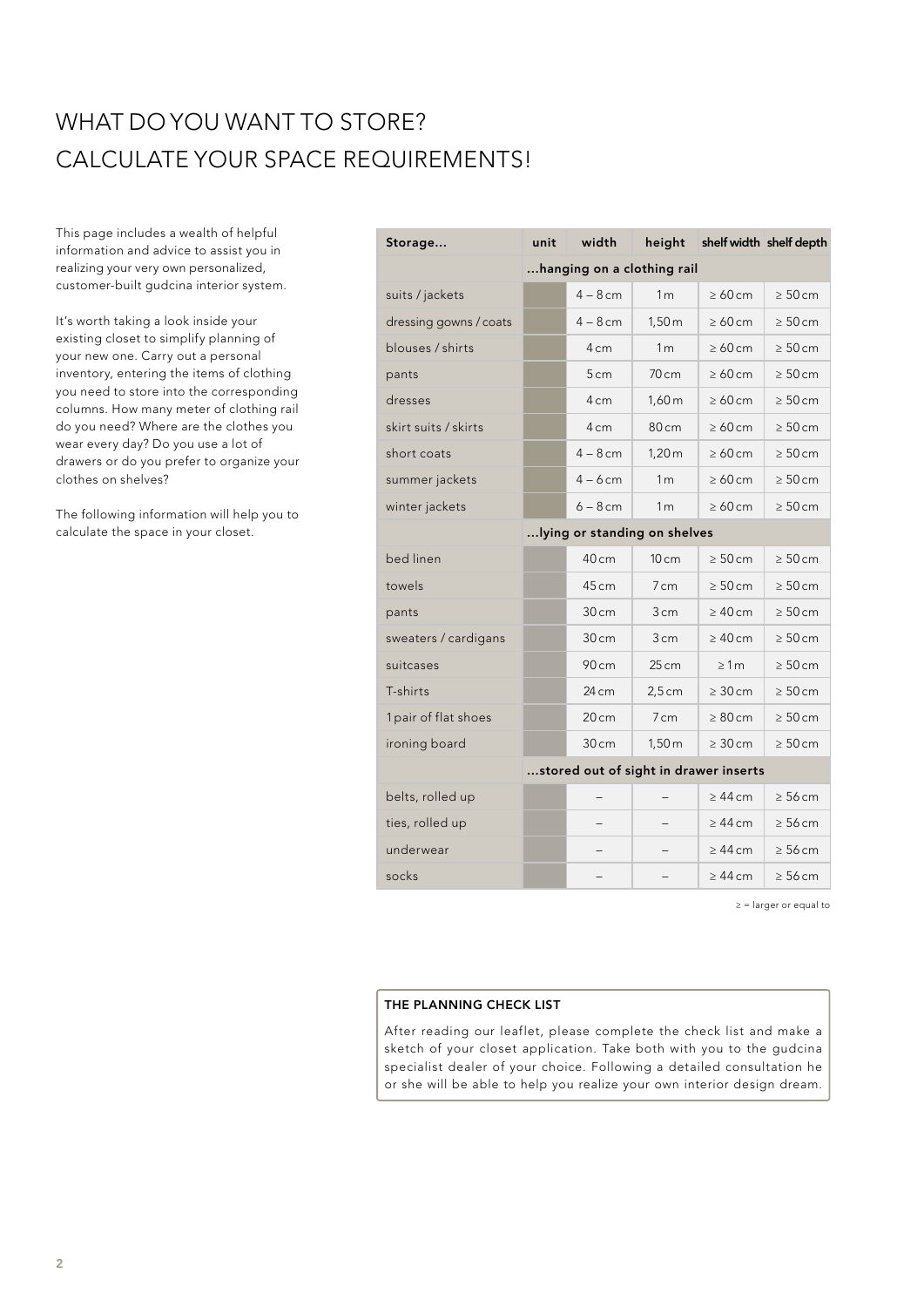## WHAT DO YOU WANT TO STORE? CALCULATE YOUR SPACE REQUIREMENTS!

This page includes a wealth of helpful information and advice to assist you in realizing your very own personalized, customer-built gudcina interior system.

It's worth taking a look inside your existing closet to simplify planning of your new one. Carry out a personal inventory, entering the items of clothing you need to store into the corresponding columns. How many meter of clothing rail do you need? Where are the clothes you wear every day? Do you use a lot of drawers or do you prefer to organize your clothes on shelves?

The following information will help you to calculate the space in your closet.

| Storage                | unit                                  | width           | height                   |              | shelf width shelf depth |  |
|------------------------|---------------------------------------|-----------------|--------------------------|--------------|-------------------------|--|
|                        | hanging on a clothing rail            |                 |                          |              |                         |  |
| suits / jackets        |                                       | $4 - 8$ cm      | 1 <sub>m</sub>           | $\geq 60$ cm | $\geq 50$ cm            |  |
| dressing gowns / coats |                                       | $4 - 8$ cm      | 1,50m                    | $\geq 60$ cm | $\geq 50$ cm            |  |
| blouses / shirts       |                                       | 4 <sub>cm</sub> | 1 <sub>m</sub>           | $\geq 60$ cm | $\geq 50$ cm            |  |
| pants                  |                                       | 5 <sub>cm</sub> | 70cm                     | $\geq 60$ cm | $\geq 50$ cm            |  |
| dresses                |                                       | 4 <sub>cm</sub> | 1,60 <sub>m</sub>        | $\geq 60$ cm | $\geq 50$ cm            |  |
| skirt suits / skirts   |                                       | $4 \text{ cm}$  | 80cm                     | $\geq 60$ cm | $\geq 50$ cm            |  |
| short coats            |                                       | $4-8$ cm        | 1,20m                    | $\geq 60$ cm | $\geq 50$ cm            |  |
| summer jackets         |                                       | $4 - 6$ cm      | 1 <sub>m</sub>           | $\geq 60$ cm | $\geq 50$ cm            |  |
| winter jackets         |                                       | $6 - 8$ cm      | 1 <sub>m</sub>           | $\geq 60$ cm | $\geq 50$ cm            |  |
|                        | lying or standing on shelves          |                 |                          |              |                         |  |
| bed linen              |                                       | 40 cm           | 10 <sub>cm</sub>         | $\geq 50$ cm | $\geq 50$ cm            |  |
| towels                 |                                       | 45 cm           | $7 \text{ cm}$           | $\geq 50$ cm | $\geq 50$ cm            |  |
| pants                  |                                       | 30 cm           | 3 <sub>cm</sub>          | $\geq 40$ cm | $\geq 50$ cm            |  |
| sweaters / cardigans   |                                       | 30 cm           | 3cm                      | $\geq 40$ cm | $\geq 50$ cm            |  |
| suitcases              |                                       | 90 cm           | 25 cm                    | $\geq 1m$    | $\geq 50$ cm            |  |
| T-shirts               |                                       | 24 cm           | $2,5$ cm                 | $\geq 30$ cm | $\geq 50$ cm            |  |
| 1 pair of flat shoes   |                                       | 20cm            | 7cm                      | $\geq 80$ cm | $\geq 50$ cm            |  |
| ironing board          |                                       | 30 cm           | 1,50m                    | $\geq 30$ cm | $\geq 50$ cm            |  |
|                        | stored out of sight in drawer inserts |                 |                          |              |                         |  |
| belts, rolled up       |                                       |                 |                          | $\geq 44$ cm | $\geq 56$ cm            |  |
| ties, rolled up        |                                       |                 |                          | $\geq 44$ cm | $\geq 56$ cm            |  |
| underwear              |                                       |                 |                          | $\geq 44$ cm | $\geq 56$ cm            |  |
| socks                  |                                       |                 | $\overline{\phantom{0}}$ | $\geq 44$ cm | $\geq 56$ cm            |  |

≥ = larger or equal to

#### THE PLANNING CHECK LIST

After reading our leaflet, please complete the check list and make a sketch of your closet application. Take both with you to the gudcina specialist dealer of your choice. Following a detailed consultation he or she will be able to help you realize your own interior design dream.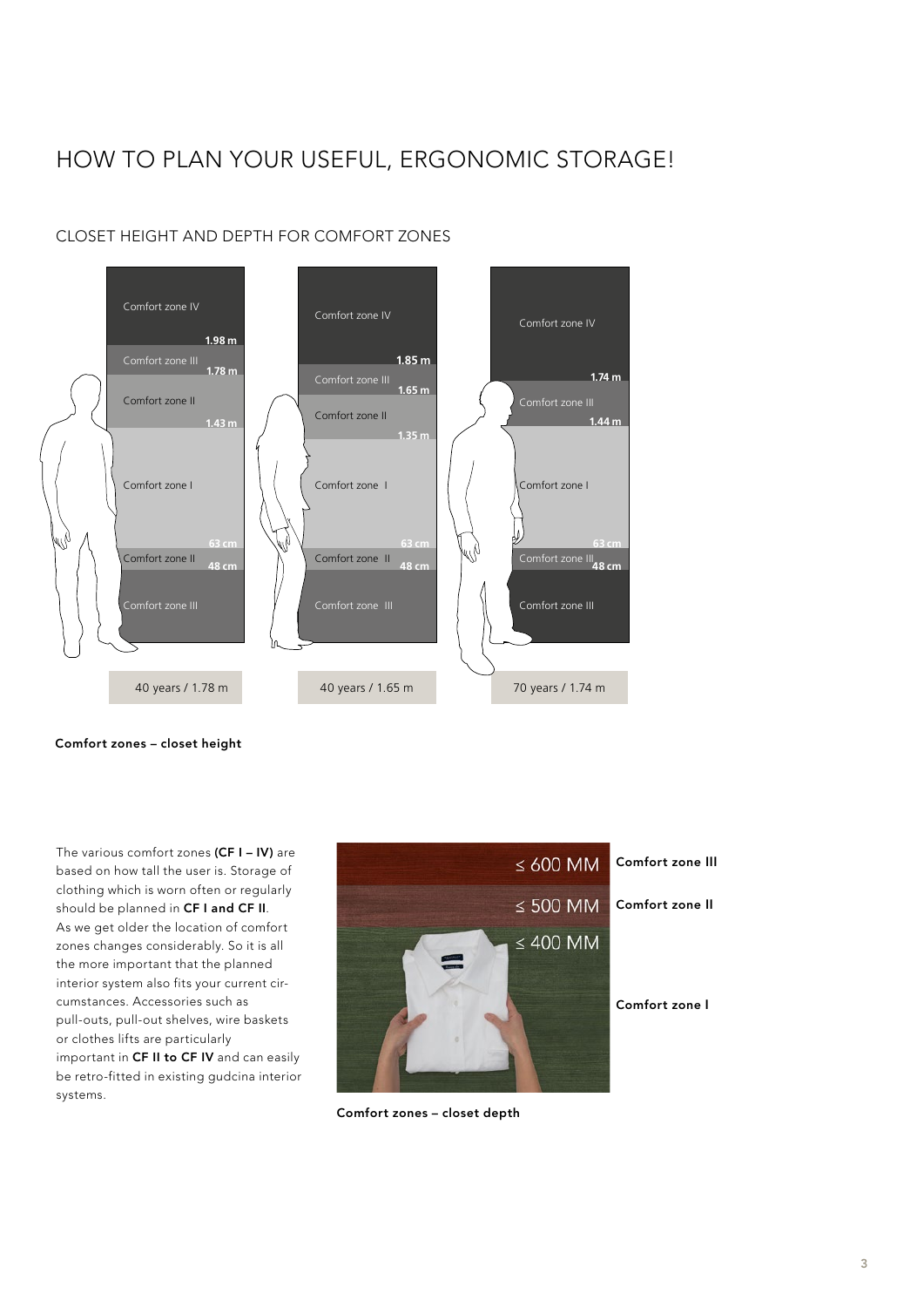## HOW TO PLAN YOUR USEFUL, ERGONOMIC STORAGE!



#### CLOSET HEIGHT AND DEPTH FOR COMFORT ZONES

Comfort zones – closet height

The various comfort zones (CF I – IV) are based on how tall the user is. Storage of clothing which is worn often or regularly should be planned in CF I and CF II. As we get older the location of comfort zones changes considerably. So it is all the more important that the planned interior system also fits your current circumstances. Accessories such as pull-outs, pull-out shelves, wire baskets or clothes lifts are particularly important in CF II to CF IV and can easily be retro-fitted in existing gudcina interior systems.



Comfort zones – closet depth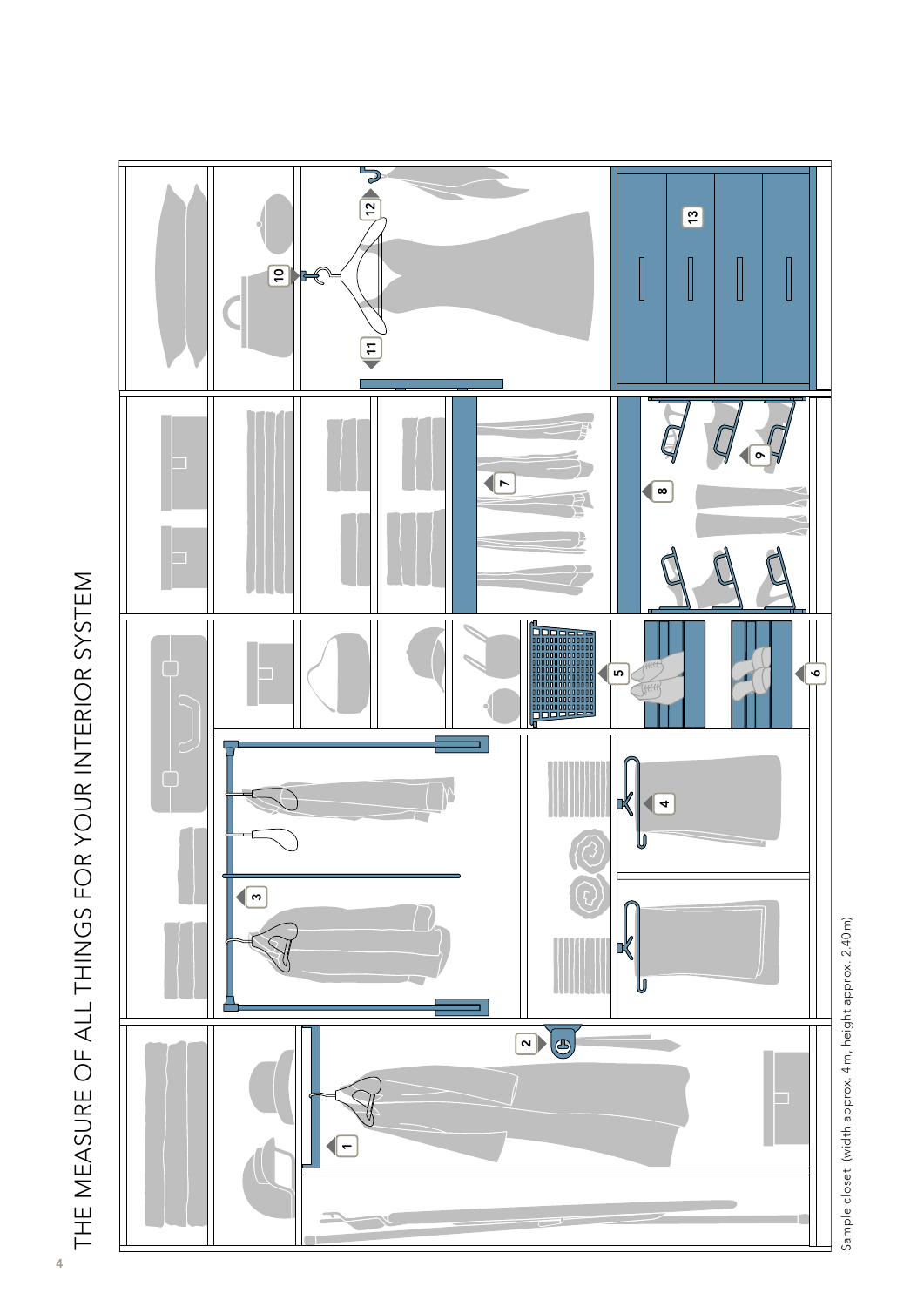



Sample closet (width approx. 4m, height approx. 2.40 m) Sample closet (width approx. 4 m, height approx. 2.40 m)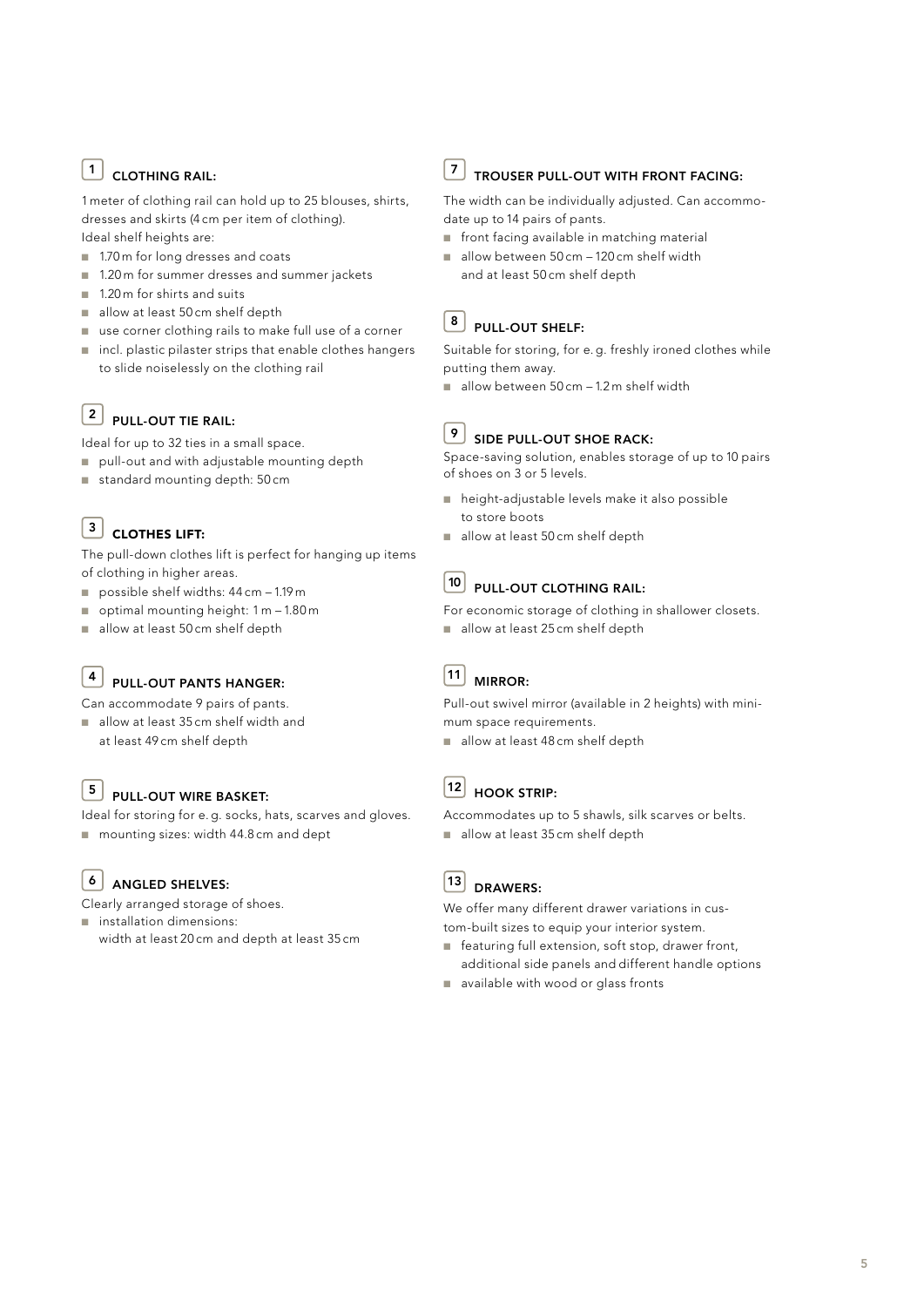#### $\boxed{1}$  CLOTHING RAIL:

1 meter of clothing rail can hold up to 25 blouses, shirts, dresses and skirts (4 cm per item of clothing). Ideal shelf heights are:

- 1.70 m for long dresses and coats
- 1.20 m for summer dresses and summer jackets
- $\blacksquare$  1.20 m for shirts and suits
- allow at least 50 cm shelf depth
- use corner clothing rails to make full use of a corner
- incl. plastic pilaster strips that enable clothes hangers to slide noiselessly on the clothing rail

#### $\begin{bmatrix} 2 \\ \end{bmatrix}$  PULL-OUT TIE RAIL:

Ideal for up to 32 ties in a small space.

- $\Box$  pull-out and with adjustable mounting depth
- $\Box$  standard mounting depth: 50 cm

### $\begin{bmatrix} 3 \end{bmatrix}$  CLOTHES LIFT:

The pull-down clothes lift is perfect for hanging up items of clothing in higher areas.

- possible shelf widths:  $44 \text{ cm} 1.19 \text{ m}$
- optimal mounting height:  $1 m 1.80 m$
- allow at least 50 cm shelf depth

#### $\boxed{4}$  PULL-OUT PANTS HANGER:

Can accommodate 9 pairs of pants.

allow at least 35 cm shelf width and at least 49 cm shelf depth

#### $\overline{\phantom{a}}^5$  PULL-OUT WIRE BASKET:

Ideal for storing for e. g. socks, hats, scarves and gloves. ■ mounting sizes: width 44.8 cm and dept

#### $6 \overline{\phantom{a}}$  ANGLED SHELVES:

Clearly arranged storage of shoes.

 $\blacksquare$  installation dimensions: width at least 20 cm and depth at least 35 cm

#### $\boxed{7}$  TROUSER PULL-OUT WITH FRONT FACING:

The width can be individually adjusted. Can accommodate up to 14 pairs of pants.

- front facing available in matching material
- allow between 50 cm 120 cm shelf width and at least 50 cm shelf depth

#### $\overline{8}$  PULL-OUT SHELF:

Suitable for storing, for e. g. freshly ironed clothes while putting them away.

 $\blacksquare$  allow between 50 cm - 1.2 m shelf width

#### $9$  SIDE PULL-OUT SHOE RACK:

Space-saving solution, enables storage of up to 10 pairs of shoes on 3 or 5 levels.

- n height-adjustable levels make it also possible to store boots
- allow at least 50 cm shelf depth



#### $\boxed{10}$  PULL-OUT CLOTHING RAIL:

For economic storage of clothing in shallower closets.

allow at least 25 cm shelf depth

## $\boxed{11}$  MIRROR:

Pull-out swivel mirror (available in 2 heights) with minimum space requirements.

allow at least 48 cm shelf depth

#### <sup>12</sup> HOOK STRIP:

Accommodates up to 5 shawls, silk scarves or belts. allow at least 35 cm shelf depth



We offer many different drawer variations in custom-built sizes to equip your interior system.

- featuring full extension, soft stop, drawer front, additional side panels and different handle options
- n available with wood or glass fronts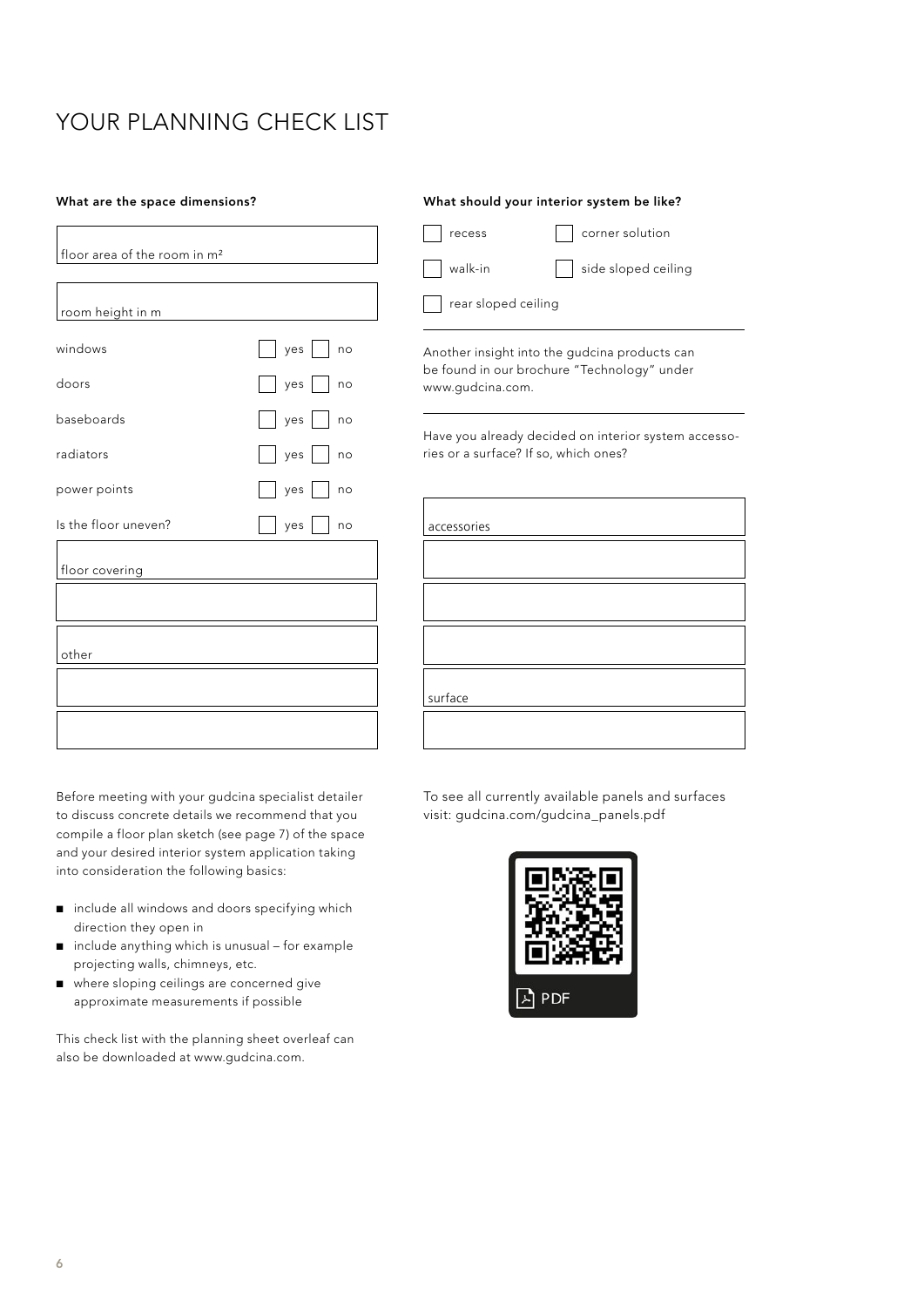## YOUR PLANNING CHECK LIST

| floor area of the room in m <sup>2</sup> |                   |
|------------------------------------------|-------------------|
| room height in m                         |                   |
| windows                                  | yes     no        |
| doors                                    | yes     no        |
| baseboards                               | yes<br>no         |
| radiators                                | $ $ yes $ $<br>no |
| power points                             | yes<br>  no       |
| Is the floor uneven?                     | yes<br>no         |
| floor covering                           |                   |
|                                          |                   |
| other                                    |                   |
|                                          |                   |
|                                          |                   |
|                                          |                   |

Before meeting with your gudcina specialist detailer to discuss concrete details we recommend that you compile a floor plan sketch (see page 7) of the space and your desired interior system application taking into consideration the following basics:

- n include all windows and doors specifying which direction they open in
- $\Box$  include anything which is unusual for example projecting walls, chimneys, etc.
- $\blacksquare$  where sloping ceilings are concerned give approximate measurements if possible

This check list with the planning sheet overleaf can also be downloaded at www.gudcina.com.

#### What are the space dimensions? What should your interior system be like?

recess and corner solution walk-in side sloped ceiling

rear sloped ceiling

Another insight into the gudcina products can be found in our brochure "Technology" under www.gudcina.com.

Have you already decided on interior system accessories or a surface? If so, which ones?

| accessories |
|-------------|
|             |
|             |
|             |
|             |
| surface     |
|             |

To see all currently available panels and surfaces visit: gudcina.com/gudcina\_panels.pdf

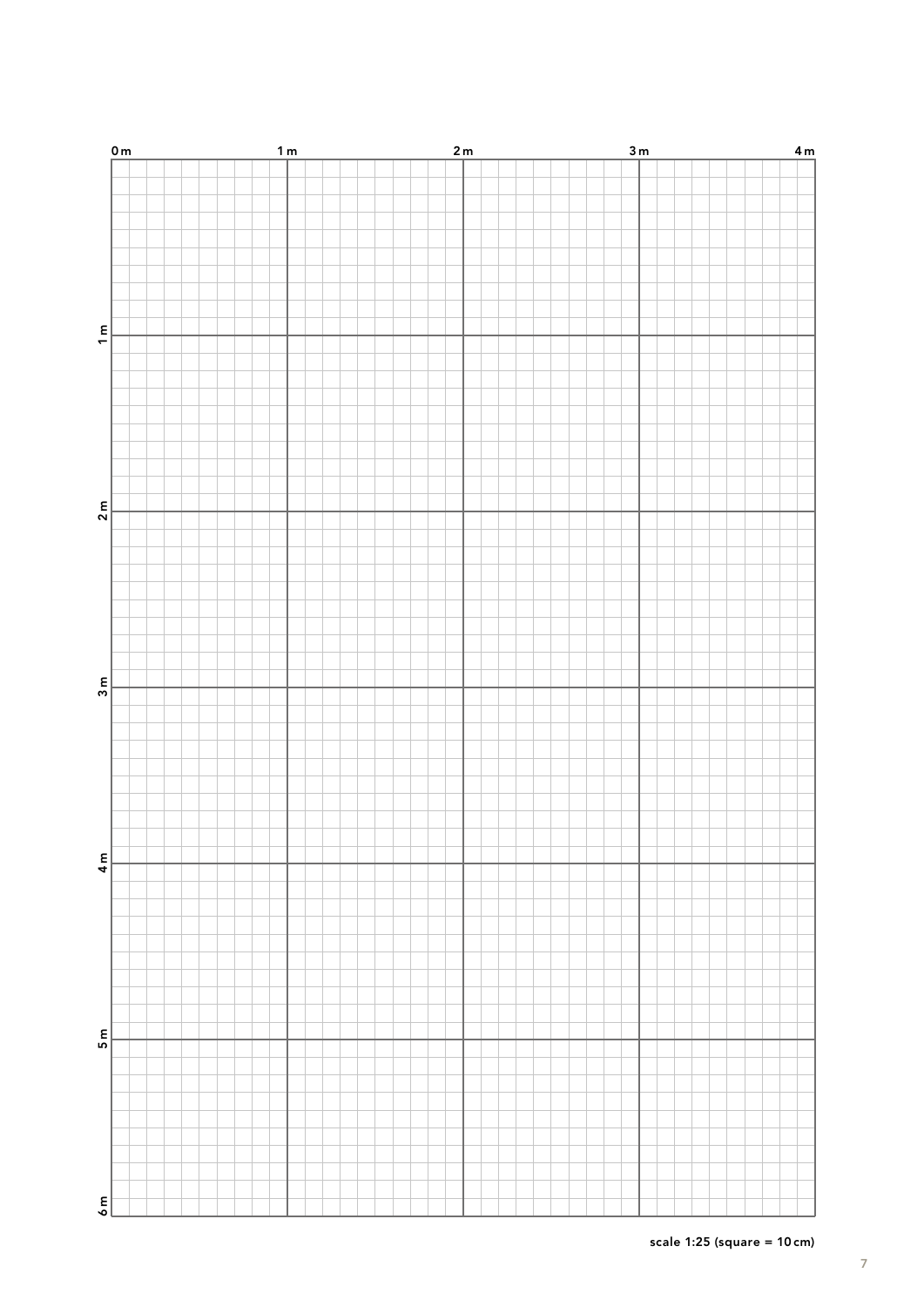